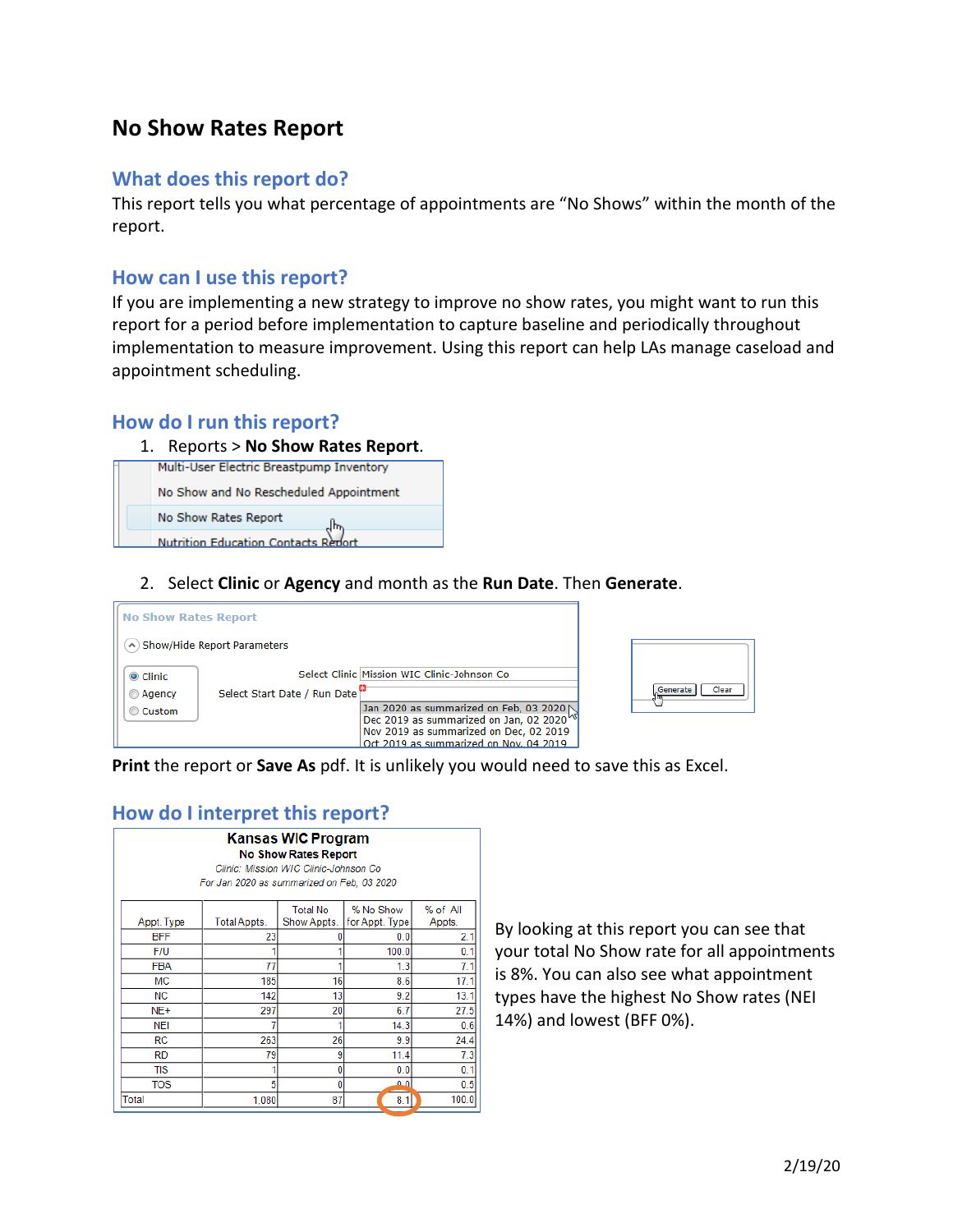# **No Show Rates Report**

#### **What does this report do?**

This report tells you what percentage of appointments are "No Shows" within the month of the report.

#### **How can I use this report?**

If you are implementing a new strategy to improve no show rates, you might want to run this report for a period before implementation to capture baseline and periodically throughout implementation to measure improvement. Using this report can help LAs manage caseload and appointment scheduling.

#### **How do I run this report?**



**Nutrition Education Contacts Report** 

2. Select **Clinic** or **Agency** and month as the **Run Date**. Then **Generate**.



**Print** the report or **Save As** pdf. It is unlikely you would need to save this as Excel.

## **How do I interpret this report?**

| <b>Kansas WIC Program</b><br><b>No Show Rates Report</b><br>Clinic: Mission WIC Clinic-Johnson Co<br>For Jan 2020 as summarized on Feb, 03 2020 |              |                 |                |          |
|-------------------------------------------------------------------------------------------------------------------------------------------------|--------------|-----------------|----------------|----------|
|                                                                                                                                                 |              | <b>Total No</b> | % No Show      | % of All |
| Appt. Type                                                                                                                                      | Total Appts. | Show Appts.     | for Appt. Type | Appts.   |
| <b>BFF</b>                                                                                                                                      | 23           |                 | 0.0            | 2.1      |
| F/U                                                                                                                                             |              |                 | 100.0          | 0.1      |
| <b>FBA</b>                                                                                                                                      | 77           |                 | 1.3            | 7.1      |
| MC                                                                                                                                              | 185          | 16              | 8.6            | 17.1     |
| <b>NC</b>                                                                                                                                       | 142          | 13              | 9.2            | 13.1     |
| NE+                                                                                                                                             | 297          | 20              | 6.7            | 27.5     |
| NEI                                                                                                                                             |              |                 | 14.3           | 0.6      |
| <b>RC</b>                                                                                                                                       | 263          | 26              | 9.9            | 24.4     |
| <b>RD</b>                                                                                                                                       | 79           | 9               | 11.4           | 7.3      |
| <b>TIS</b>                                                                                                                                      |              | 0               | 0.0            | 0.1      |
| <b>TOS</b>                                                                                                                                      | 5            | 0               | امھ            | 0.5      |
| Total                                                                                                                                           | 1.080        | 87              | 8.1            | 100.0    |

By looking at this report you can see that your total No Show rate for all appointments is 8%. You can also see what appointment types have the highest No Show rates (NEI 14%) and lowest (BFF 0%).